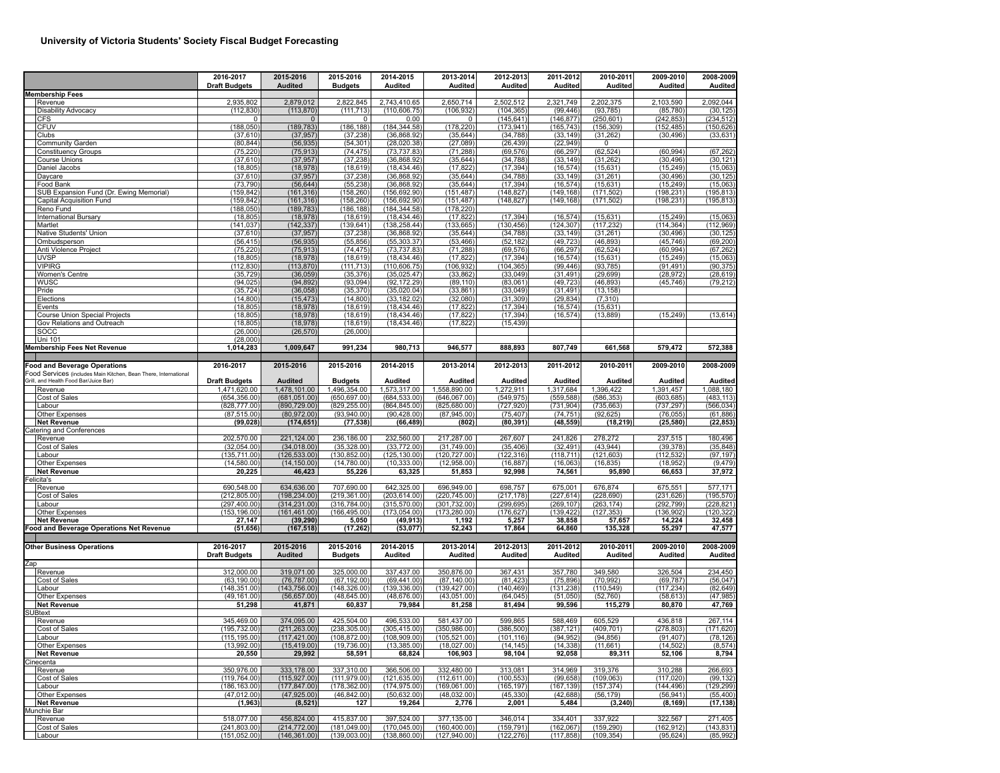## **University of Victoria Students' Society Fiscal Budget Forecasting**

|     |                                                                                                        | 2016-2017<br><b>Draft Budgets</b> | 2015-2016<br><b>Audited</b>    | 2015-2016<br><b>Budgets</b>    | 2014-2015<br><b>Audited</b>    | 2013-2014<br>Audited          | 2012-2013<br>Audited     | 2011-2012<br><b>Audited</b> | 2010-2011<br>Audited     | 2009-2010<br>Audited     | 2008-2009<br>Audited    |
|-----|--------------------------------------------------------------------------------------------------------|-----------------------------------|--------------------------------|--------------------------------|--------------------------------|-------------------------------|--------------------------|-----------------------------|--------------------------|--------------------------|-------------------------|
|     | <b>Membership Fees</b><br>Revenue                                                                      | 2,935,802                         | 2,879,012                      | 2,822,845                      | 2,743,410.65                   | 2,650,714                     | 2,502,512                | 2,321,749                   | 2,202,375                | 2,103,590                | 2,092,044               |
|     | <b>Disability Advocacy</b>                                                                             | (112, 830)                        | (113, 870)                     | (111, 713)                     | (110, 606.75)                  | (106, 932)                    | (104, 365)               | (99, 446)                   | (93, 785)                | (85, 780)                | (30, 125)               |
|     | <b>CFS</b>                                                                                             | 0                                 | $\mathbf 0$                    | $^{\circ}$                     | 0.00                           | 0                             | (145, 641)               | (146, 877)                  | (250, 601)               | (242, 853)               | (234, 512)              |
|     | <b>CFUV</b>                                                                                            | (188,050)                         | (189, 783)                     | (186, 188)                     | (184, 344.58)                  | (178, 220)                    | (173, 941)               | (165, 743)                  | (156, 309)               | (152, 485)               | (150, 626)              |
|     | Clubs                                                                                                  | (37, 610)                         | (37, 957)                      | (37, 238)                      | (36,868.92)                    | (35, 644)                     | (34, 788)                | (33, 149)                   | (31, 262)                | (30, 496)                | (33, 631)               |
|     | Community Garden                                                                                       | (80, 844)                         | (56, 935)                      | (54, 301)                      | (28,020.38)                    | (27, 089)                     | (26, 439)                | (22, 949)                   | 0                        |                          |                         |
|     | <b>Constituency Groups</b>                                                                             | (75, 220)                         | (75, 913)                      | (74, 475)<br>(37, 238)         | (73, 737.83)<br>(36,868.92)    | (71, 288)<br>(35, 644)        | (69, 576)<br>(34, 788)   | (66, 297)<br>(33, 149)      | (62, 524)                | (60, 994)<br>(30, 496)   | (67, 262)<br>(30, 121)  |
|     | Course Unions<br>Daniel Jacobs                                                                         | (37, 610)<br>(18, 805)            | (37, 957)<br>(18,978)          | (18, 619)                      | (18, 434.46)                   | (17, 822)                     | (17, 394)                | (16, 574)                   | (31, 262)<br>(15, 631)   | (15, 249)                | (15,063)                |
|     | Daycare                                                                                                | (37, 610)                         | (37, 957)                      | (37, 238)                      | (36, 868.92)                   | (35, 644)                     | (34, 788)                | (33, 149)                   | (31, 261)                | (30, 496)                | (30, 125)               |
|     | Food Bank                                                                                              | (73, 790)                         | (56, 644)                      | (55, 238)                      | (36,868.92)                    | (35, 644)                     | (17, 394)                | (16, 574)                   | (15, 631)                | (15, 249)                | (15,063)                |
|     | SUB Expansion Fund (Dr. Ewing Memorial)                                                                | (159.842)                         | (161, 316)                     | (158, 260)                     | (156.692.90)                   | (151, 487)                    | (148, 827)               | (149, 168)                  | (171, 502)               | (198, 231)               | (195, 813)              |
|     | Capital Acquisition Fund                                                                               | (159, 842)                        | (161, 316)                     | (158, 260)                     | (156, 692.90)                  | (151, 487)                    | (148, 827)               | (149, 168)                  | (171, 502)               | (198, 231)               | (195, 813)              |
|     | Reno Fund                                                                                              | (188, 050)                        | (189, 783)                     | (186, 188)                     | (184, 344.58)                  | (178, 220)                    |                          |                             |                          |                          |                         |
|     | <b>International Bursary</b>                                                                           | (18, 805)                         | (18, 978)                      | (18, 619)                      | (18, 434.46)                   | (17, 822)                     | (17, 394)                | (16, 574)                   | (15, 631)                | (15, 249)                | (15,063)                |
|     | Martlet<br>Native Students' Union                                                                      | (141, 037)<br>(37, 610)           | (142, 337)<br>(37, 957)        | (139, 641)<br>(37, 238)        | (138, 258.44)<br>(36,868.92)   | (133, 665)<br>(35, 644)       | (130, 456)<br>(34, 788)  | (124, 307)<br>(33, 149)     | (117, 232)               | (114, 364)<br>(30, 496)  | (112, 969)<br>(30, 125) |
|     | Ombudsperson                                                                                           | (56, 415)                         | (56, 935)                      | (55, 856)                      | (55, 303.37)                   | (53, 466)                     | (52, 182)                | (49, 723)                   | (31, 261)<br>(46, 893)   | (45, 746)                | (69, 200)               |
|     | Anti Violence Project                                                                                  | (75, 220)                         | (75, 913)                      | (74, 475)                      | (73, 737.83)                   | (71, 288)                     | (69, 576)                | (66, 297)                   | (62, 524)                | (60, 994)                | (67, 262)               |
|     | <b>UVSP</b>                                                                                            | (18, 805)                         | (18, 978)                      | (18, 619)                      | (18, 434.46)                   | (17, 822)                     | (17, 394)                | (16, 574)                   | (15, 631)                | (15, 249)                | (15,063)                |
|     | <b>VIPIRG</b>                                                                                          | (112, 830)                        | (113, 870)                     | (111, 713)                     | (110, 606.75)                  | (106, 932)                    | (104, 365)               | (99, 446)                   | (93, 785)                | (91, 491)                | (90, 375)               |
|     | Women's Centre                                                                                         | (35, 729)                         | (36, 059)                      | (35, 376)                      | (35,025.47)                    | (33, 862)                     | (33,049)                 | (31, 491)                   | (29, 699)                | (28, 972)                | (28, 619)               |
|     | <b>WUSC</b>                                                                                            | (94, 025)                         | (94, 892)                      | (93,094)                       | (92, 172.29)                   | (89, 110)                     | (83,061)                 | (49, 723)                   | (46, 893)                | (45, 746)                | (79, 212)               |
|     | Pride                                                                                                  | (35, 724)                         | (36,058)                       | (35, 370)                      | (35,020.04)                    | (33, 861)                     | (33,049)                 | (31, 491)                   | (13, 158)                |                          |                         |
|     | Elections                                                                                              | (14, 800)                         | (15, 473)                      | (14, 800)                      | (33, 182.02)                   | (32,080)                      | (31, 309)                | (29, 834)                   | (7, 310)                 |                          |                         |
|     | Events<br><b>Course Union Special Projects</b>                                                         | (18, 805)<br>(18, 805)            | (18, 978)<br>(18, 978)         | (18, 619)<br>(18, 619)         | (18, 434.46)<br>(18, 434.46)   | (17, 822)<br>(17, 822)        | (17, 394)<br>(17, 394)   | (16, 574)<br>(16, 574)      | (15, 631)<br>(13, 889)   | (15, 249)                | (13, 614)               |
|     | Gov Relations and Outreach                                                                             | (18, 805)                         | (18, 978)                      | (18, 619)                      | (18, 434.46)                   | (17, 822)                     | (15, 439)                |                             |                          |                          |                         |
|     | SOCC                                                                                                   | (26,000)                          | (26, 570)                      | (26,000)                       |                                |                               |                          |                             |                          |                          |                         |
|     | Uni 101                                                                                                | (28,000)                          |                                |                                |                                |                               |                          |                             |                          |                          |                         |
|     | <b>Membership Fees Net Revenue</b>                                                                     | 1,014,283                         | 1,009,647                      | 991,234                        | 980,713                        | 946,577                       | 888,893                  | 807,749                     | 661,568                  | 579,472                  | 572,388                 |
|     | <b>Food and Beverage Operations</b><br>Food Services (includes Main Kitchen, Bean There, International | 2016-2017                         | 2015-2016                      | 2015-2016                      | 2014-2015                      | 2013-2014                     | 2012-2013                | 2011-2012                   | 2010-2011                | 2009-2010                | 2008-2009               |
|     | Grill, and Health Food Bar/Juice Bar)                                                                  | <b>Draft Budgets</b>              | <b>Audited</b>                 | <b>Budgets</b>                 | Audited                        | <b>Audited</b>                | Audited                  | Audited                     | Audited                  | <b>Audited</b>           | Audited                 |
|     | Revenue                                                                                                | 1,471,620.00                      | 1,478,101.00                   | 1,496,354.00                   | 1,573,317.00                   | 1,558,890.00                  | 1,272,911                | 1,317,684                   | 1,396,422                | 1,391,457                | 1,088,180               |
|     | Cost of Sales                                                                                          | (654, 356.00)                     | (681,051.00)                   | (650, 697.00)                  | (684, 533.00)                  | (646,067.00)                  | (549, 975)               | (559, 588)                  | (586, 353)               | (603, 685)               | (483, 113)              |
|     | Labour                                                                                                 | (828, 777.00)                     | (890, 729.00)                  | (829, 255.00)                  | (864, 845.00)                  | (825, 680.00)                 | (727, 920)               | (731, 904)                  | (735, 663)               | (737, 297)               | (566, 034)              |
|     | Other Expenses<br><b>Net Revenue</b>                                                                   | (87, 515.00)<br>(99, 028)         | (80,972.00)<br>(174, 651)      | (93,940.00)<br>(77, 538)       | (90, 428.00)<br>(66, 489)      | (87,945.00)<br>(802)          | (75, 407)<br>(80, 391)   | (74, 751)<br>(48, 559)      | (92, 625)<br>(18, 219)   | (76, 055)<br>(25, 580)   | (61, 886)<br>(22, 853)  |
|     | Catering and Conferences                                                                               |                                   |                                |                                |                                |                               |                          |                             |                          |                          |                         |
|     | Revenue                                                                                                | 202,570.00                        | 221,124.00                     | 236,186.00                     | 232,560.00                     | 217,287.00                    | 267,607                  | 241,826                     | 278,272                  | 237,515                  | 180,496                 |
|     | Cost of Sales                                                                                          | (32,054.00)                       | (34,018.00)                    | (35, 328.00)                   | (33, 772.00)                   | (31,749.00)                   | (35, 406)                | (32, 491)                   | (43, 944)                | (39, 378)                | (35, 848)               |
|     | Labour                                                                                                 | (135, 711.00)                     | (126, 533.00)                  | (130, 852.00)                  | (125, 130.00)                  | (120, 727.00)                 | (122, 316)               | (118, 711)                  | (121, 603)               | (112, 532)               | (97, 197)               |
|     | Other Expenses                                                                                         | (14,580.00)                       | (14, 150.00)                   | (14,780.00)                    | (10, 333.00)                   | (12,958.00)                   | (16, 887)                | (16,063)                    | (16, 835)                | (18, 952)                | (9, 479)                |
|     | <b>Net Revenue</b>                                                                                     | 20,225                            | 46,423                         | 55,226                         | 63,325                         | 51,853                        | 92,998                   | 74,561                      | 95,890                   | 66,653                   | 37,972                  |
|     | elicita's                                                                                              |                                   |                                |                                |                                |                               |                          |                             |                          |                          |                         |
|     | Revenue<br>Cost of Sales                                                                               | 690,548.00<br>(212, 805.00)       | 634,636.00<br>(198, 234.00)    | 707,690.00<br>(219, 361.00)    | 642,325.00<br>(203, 614.00)    | 696,949.00<br>(220, 745.00)   | 698,757<br>(217, 178)    | 675,001<br>(227, 614)       | 676,874<br>(228, 690)    | 675,551<br>(231, 626)    | 577,171<br>(195, 570)   |
|     | Labour                                                                                                 | (297, 400.00)                     | (314, 231.00)                  | (316, 784.00)                  | (315, 570.00)                  | (301, 732.00)                 | (299, 695)               | (269, 107)                  | (263, 174)               | (292, 799)               | (228, 821)              |
|     | Other Expenses                                                                                         | (153, 196.00)                     | (161, 461.00)                  | (166, 495.00)                  | (173,054.00)                   | (173, 280.00)                 | (176, 627)               | (139, 422)                  | (127, 353)               | (136, 902)               | (120, 322)              |
|     | <b>Net Revenue</b>                                                                                     | 27,147                            | (39, 290)                      | 5,050                          | (49, 913)                      | 1,192                         | 5,257                    | 38,858                      | 57,657                   | 14,224                   | 32,458                  |
|     | Food and Beverage Operations Net Revenue                                                               | (51, 656)                         | (167, 518)                     | (17, 262)                      | (53, 077)                      | 52,243                        | 17,864                   | 64,860                      | 135,328                  | 55,297                   | 47,577                  |
|     | <b>Other Business Operations</b>                                                                       | 2016-2017<br><b>Draft Budgets</b> | 2015-2016<br><b>Audited</b>    | 2015-2016<br><b>Budgets</b>    | 2014-2015<br><b>Audited</b>    | 2013-2014<br>Audited          | 2012-2013<br>Audited     | 2011-2012<br><b>Audited</b> | 2010-2011<br>Audited     | 2009-2010<br>Audited     | 2008-2009<br>Audited    |
| Zap |                                                                                                        |                                   |                                |                                |                                |                               |                          |                             |                          |                          |                         |
|     | Revenue                                                                                                | 312,000.00                        | 319,071.00                     | 325,000.00                     | 337,437.00                     | 350,876.00                    | 367,431                  | 357,780                     | 349,580                  | 326,504                  | 234,450                 |
|     | Cost of Sales                                                                                          | (63, 190.00)                      | (76, 787.00)                   | (67, 192.00)                   | (69, 441.00)                   | (87, 140.00)                  | (81, 423)                | (75, 896)                   | (70, 992)                | (69, 787)                | (56, 047)               |
|     | Labour                                                                                                 | (148, 351.00)                     | (143, 756.00)                  | (148, 326.00)                  | (139, 336.00)                  | (139, 427.00)                 | (140, 469)               | (131, 238)                  | (110.549)                | (117, 234)               | (82, 649)               |
|     | Other Expenses<br><b>Net Revenue</b>                                                                   | (49, 161.00)<br>51,298            | (56,657.00)                    | (48, 645.00)                   | (48, 676.00)<br>79,984         | (43,051.00)<br>81,258         | (64, 045)<br>81,494      | (51,050)<br>99,596          | (52, 760)<br>115,279     | (58, 613)<br>80,870      | (47, 985)<br>47,769     |
|     | <b>SUBtext</b>                                                                                         |                                   | 41,871                         | 60,837                         |                                |                               |                          |                             |                          |                          |                         |
|     | Revenue                                                                                                | 345,469.00                        | 374.095.00                     | 425,504.00                     | 496,533.00                     | 581.437.00                    | 599,865                  | 588,469                     | 605,529                  | 436,818                  | 267,114                 |
|     | Cost of Sales                                                                                          | (195, 732.00)                     | (211, 263.00)                  | (238, 305.00)                  | (305, 415.00)                  | (350, 986.00)                 | (386, 500)               | (387, 121)                  | (409, 701)               | (278, 803)               | (171, 620)              |
|     | Labour                                                                                                 | (115,195.00)                      | (117, 421.00)                  | (108, 872.00)                  | (108,909.00)                   | (105, 521.00)                 | (101, 116)               | (94, 952)                   | (94, 856)                | (91, 407)                | (78.126)                |
|     | Other Expenses                                                                                         | (13,992.00)                       | (15, 419.00)                   | (19,736.00)                    | (13, 385.00)                   | (18,027.00)                   | (14, 145)                | (14, 338)                   | (11,661)                 | (14, 502)                | (8, 574)                |
|     | <b>Net Revenue</b>                                                                                     | 20,550                            | 29,992                         | 58,591                         | 68,824                         | 106,903                       | 98,104                   | 92,058                      | 89,311                   | 52,106                   | 8,794                   |
|     | Cinecenta                                                                                              |                                   |                                |                                |                                |                               |                          |                             |                          |                          |                         |
|     | Revenue                                                                                                | 350,976.00                        | 333,178.00                     | 337,310.00                     | 366,506.00                     | 332,480.00                    | 313,081                  | 314,969                     | 319,376                  | 310,288                  | 266,693                 |
|     | Cost of Sales<br>Labour                                                                                | (119, 764.00)<br>(186, 163.00)    | (115, 927.00)<br>(177, 847.00) | (111, 979.00)<br>(178, 362.00) | (121, 635.00)<br>(174, 975.00) | (112, 611.00)<br>(169,061.00) | (100, 553)<br>(165, 197) | (99, 658)<br>(167, 139)     | (109, 063)<br>(157, 374) | (117, 020)<br>(144, 496) | (99, 132)<br>(129, 299) |
|     | Other Expenses                                                                                         | (47, 012.00)                      | (47, 925.00)                   | (46, 842.00)                   | (50, 632.00)                   | (48,032.00)                   | (45, 330)                | (42, 688)                   | (56, 179)                | (56, 941)                | (55, 400)               |
|     | <b>Net Revenue</b>                                                                                     | (1, 963)                          | (8, 521)                       | 127                            | 19,264                         | 2,776                         | 2,001                    | 5,484                       | (3, 240)                 | (8, 169)                 | (17, 138)               |
|     | Munchie Bar                                                                                            |                                   |                                |                                |                                |                               |                          |                             |                          |                          |                         |
|     | Revenue                                                                                                | 518,077.00                        | 456,824.00                     | 415,837.00                     | 397,524.00                     | 377,135.00                    | 346,014                  | 334,401                     | 337,922                  | 322,567                  | 271.405                 |
|     | Cost of Sales                                                                                          | (241, 803.00)                     | (214, 772.00)                  | (181, 049.00)                  | (170, 045.00)                  | (160, 400.00)                 | (159, 791)               | (162,067)                   | (159, 290)               | (162, 912)               | (143, 831)              |
|     | Labour                                                                                                 | (151, 052.00)                     | (146, 361.00)                  | (139,003.00)                   | (138, 860.00)                  | (127, 940.00)                 | (122, 276)               | (117, 858)                  | (109, 354)               | (95, 624)                | (85,992)                |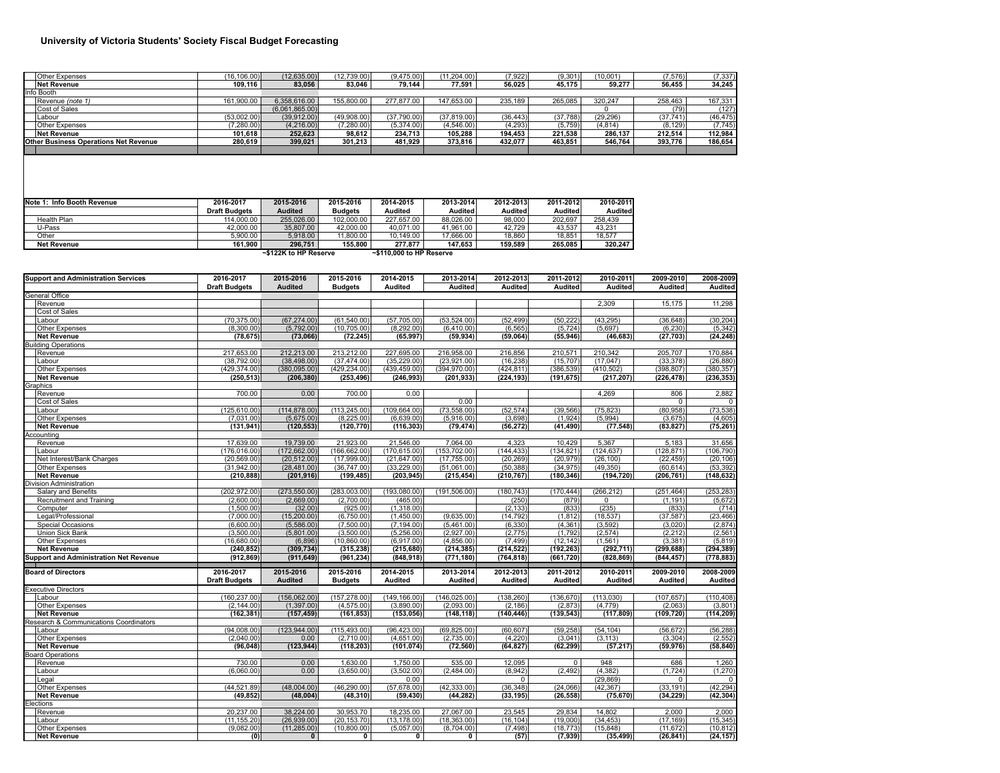## **University of Victoria Students' Society Fiscal Budget Forecasting**

|                                              | Other Expenses   | (16.106.00) | (12, 635.00)   | (12.739.00) | (9.475.00)  | (11.204.00)  | (7,922)   | (9,301)  | (10,001)  | (7,576)   | (7, 337)  |
|----------------------------------------------|------------------|-------------|----------------|-------------|-------------|--------------|-----------|----------|-----------|-----------|-----------|
|                                              | Net Revenue      | 109.116     | 83.056         | 83.046      | 79.144      | 77.591       | 56.025    | 45.175   | 59.277    | 56.455    | 34.245    |
|                                              | Info Booth       |             |                |             |             |              |           |          |           |           |           |
|                                              | Revenue (note 1) | 161.900.00  | 6.358.616.00   | 155,800,00  | 277,877,00  | 147.653.00   | 235.189   | 265.085  | 320.247   | 258.463   | 167,331   |
|                                              | Cost of Sales    |             | (6,061,865.00) |             |             |              |           |          |           | (79)      | (127)     |
|                                              | Labour           | (53,002.00) | (39,912.00)    | (49.908.00) | (37,790.00) | (37, 819.00) | (36, 443) | (37,788) | (29, 296) | (37, 741) | (46, 475) |
|                                              | Other Expenses   | (7,280.00)  | (4,216.00)     | (7,280.00)  | (5,374.00)  | (4,546.00)   | (4, 293)  | (5,759)  | (4, 814)  | (8, 129)  | (7, 745)  |
|                                              | Net Revenue      | 101.618     | 252.623        | 98.612      | 234.713     | 105.288      | 194.453   | 221.538  | 286.137   | 212.514   | 112.984   |
| <b>Other Business Operations Net Revenue</b> |                  | 280.619     | 399,021        | 301.213     | 481.929     | 373.816      | 432.077   | 463.851  | 546.764   | 393.776   | 186,654   |
|                                              |                  |             |                |             |             |              |           |          |           |           |           |

| Note 1:<br>Info Booth Revenue                           | 2016-2017            | 2015-2016      | 2015-2016      | 2014-2015  | 2013-2014 | 2012-2013 | 2011-2012 | 2010-2011 |  |  |
|---------------------------------------------------------|----------------------|----------------|----------------|------------|-----------|-----------|-----------|-----------|--|--|
|                                                         | <b>Draft Budgets</b> | <b>Audited</b> | <b>Budgets</b> | Audited    | Audited   | Audited   | Audited   | Audited   |  |  |
| Health Plan                                             | 114,000.00           | 255,026,00     | 102.000.00     | 227.657.00 | 88.026.00 | 98,000    | 202.697   | 258.439   |  |  |
| U-Pass                                                  | 42.000.00            | 35,807.00      | 42.000.00      | 40.071.00  | 41.961.00 | 42.729    | 43.537    | 43.231    |  |  |
| Other                                                   | 5.900.00             | 5.918.00       | 11.800.00      | 10.149.00  | 17.666.00 | 18,860    | 18.851    | 18.577    |  |  |
| <b>Net Revenue</b>                                      | 161.900              | 296.751        | 155.800        | 277.877    | 147.653   | 159.589   | 265.085   | 320.247   |  |  |
| ~\$122K to HP Reserve<br>$\sim$ \$110.000 to HP Reserve |                      |                |                |            |           |           |           |           |  |  |

**2016-2017 2015-2016 2015-2016 2014-2015 2013-2014 2012-2013 2011-2012 2010-2011 2009-2010 2008-2009 Draft Budgets Audited Budgets Audited Audited Audited Audited Audited Audited Audited** Revenue 2,309 15,175 11,298 Cost of Sales Labour (70,375.00) (67,274.00) (61,540.00) (57,705.00) (53,524.00) (52,499) (50,222) (43,295) (36,648) (30,204) Other Expenses (8,300.00) (5,792.00) (10,705.00) (8,292.00) (6,410.00) (6,565) (5,724) (5,697) (6,230) (5,342) **Net Revenue (78,675) (73,066) (72,245) (65,997) (59,934) (59,064) (55,946) (46,683) (27,703) (24,248)** Revenue 217,653.00 212,213.00 213,212.00 227,695.00 216,958.00 216,856 210,571 210,342 205,707 170,884 Labour (38,792.00) (38,498.00) (37,474.00) (35,229.00) (23,921.00) (16,238) (15,707) (17,047) (33,378) (26,880) Other Expenses (429,374.00) (380,095.00) (429,234.00) (439,459.00) (394,970.00) (424,811) (386,539) (410,502) (398,807) (380,357) **Net Revenue (250,513) (206,380) (253,496) (246,993) (201,933) (224,193) (191,675) (217,207) (226,478) (236,353)** Revenue 700.00 0.00 700.00 0.00 4,269 806 2,882 Cost of Sales 0.00 0 0 Labour (125,610.00) (114,878.00) (113,245.00) (109,664.00) (73,558.00) (52,574) (39,566) (75,823) (80,958) (73,538) Other Expenses (7,031.00) (5,675.00) (8,225.00) (6,639.00) (5,916.00) (3,698) (1,924) (5,994) (3,675) (4,605) **Net Revenue (131,941) (120,553) (120,770) (116,303) (79,474) (56,272) (41,490) (77,548) (83,827) (75,261)** Revenue 17,639.00 19,739.00 21,923.00 21,546.00 7,064.00 4,323 10,429 5,367 5,183 31,656 Labour (176,016.00) (172,662.00) (166,662.00) (170,615.00) (153,702.00) (144,433) (134,821) (124,637) (128,871) (106,790) Net Interest/Bank Charges (20,569.00) (20,512.00) (17,999.00) (21,647.00) (17,755.00) (20,269) (20,979) (26,100) (22,459) (20,106) Other Expenses (31,942.00) (28,481.00) (36,747.00) (33,229.00) (51,061.00) (50,388) (34,975) (49,350) (60,614) (53,392) **Net Revenue (210,888) (201,916) (199,485) (203,945) (215,454) (210,767) (180,346) (194,720) (206,761) (148,632)** ivision Administration<br>Salary and Benefits Salary and Benefits (202,972.00) (273,550.00) (283,003.00) (193,080.00) (191,506.00) (180,743) (170,444) (266,212) (251,464) (253,283) Recruitment and Training (2,600.00) (2,669.00) (2,700.00) (465.00) (250) (879) 0 (1,191) (5,672) Computer (1,500.00) (32.00) (925.00) (1,318.00) (2,133) (833) (235) (833) (714) Legal/Professional (7,000.00) (15,200.00) (6,750.00) (1,450.00) (9,635.00) (14,792) (1,812) (18,537) (37,587) (23,466) Special Occasions (6,600.00) (5,586.00) (7,500.00) (7,194.00) (5,461.00) (6,330) (4,361) (3,592) (3,020) (2,874) Union Sick Bank (3,500.00) (5,801.00) (3,500.00) (5,256.00) (2,927.00) (2,775) (1,792) (2,574) (2,212) (2,561) Other Expenses (16,680.00) (6,896) (10,860.00) (6,917.00) (4,856.00) (7,499) (12,142) (1,561) (3,381) (5,819) **Net Revenue (240,852) (309,734) (315,238) (215,680) (214,385) (214,522) (192,263) (292,711) (299,688) (294,389) (912,869) (911,649) (961,234) (848,918) (771,180) (764,818) (661,720) (828,869) (844,457) (778,883) 2016-2017 2015-2016 2015-2016 2014-2015 2013-2014 2012-2013 2011-2012 2010-2011 2009-2010 2008-2009 Draft Budgets Audited Budgets Audited Audited Audited Audited Audited Audited Audited** Executive Directors<br>|Labour Labour (160,237.00) (156,062.00) (157,278.00) (149,166.00) (146,025.00) (138,260) (136,670) (113,030) (107,657) (110,408) Other Expenses (2,144.00)| (1,397.00)| (4,575.00)| (3,890.00)| (2,093.00)| (2,186)| (2,873)| (4,779) | (2,063)| (3,801) **Net Revenue (162,381) (157,459) (161,853) (153,056) (148,118) (140,446) (139,543) (117,809) (109,720) (114,209)** Labour (94,008.00) (123,944.00) (115,493.00) (96,423.00) (69,825.00) (60,607) (59,258) (54,104) (56,672) (56,288) Other Expenses (2,040.00) 0.00 (2,710.00) (4,651.00) (2,735.00) (4,220) (3,041) (3,113) (3,304) (2,552) **Net Revenue (96,048) (123,944) (118,203) (101,074) (72,560) (64,827) (62,299) (57,217) (59,976) (58,840)** Revenue 730.00 0.00 1,630.00 1,750.00 535.00 12,095 0 948 686 1,260 Labour (6,060.00) 0.00 (3,650.00) (3,502.00) (2,484.00) (8,942) (2,492) (4,382) (1,724) (1,270) Legal 0.00 0 (29,869) 0 0 Other Expenses (44,521.89) (48,004.00) (46,290.00) (57,678.00) (42,333.00) (36,348) (24,066) (42,367) (33,191) (42,294) **Net Revenue (49,852) (48,004) (48,310) (59,430) (44,282) (33,195) (26,558) (75,670) (34,229) (42,304)** Revenue 20,237.00 38,224.00 30,953.70 18,235.00 27,067.00 23,545 29,834 14,802 2,000 2,000 Labour (11,155.20) (26,939.00) (20,153.70) (13,178.00) (18,363.00) (16,104) (19,000) (34,453) (17,169) (15,345) Other Expenses (9,082.00) (11,285.00) (10,800.00) (5,057.00) (8,704.00) (7,498) (18,773) (15,848) (11,672) (10,812) **Net Revenue (0) 0 0 0 0 (57) (7,939) (35,499) (26,841) (24,157) Support and Administration Net Revenue Board of Directors Support and Administration Services** ccounting General Office<br>Revenue uilding Operations raphics<br>Revenue Research & Communications Coordinators<br>|Labour **Board Operations**<br>Revenue Elections